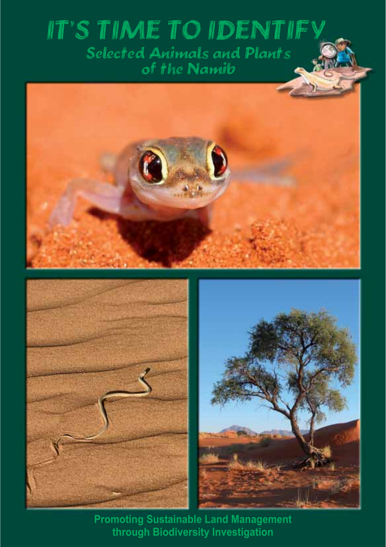# **IT'S TIME TO IDENTIFY Selected Animals and Plants**<br>of the Namib



**Promoting Sustainable Land Management** through Biodiversity Investigation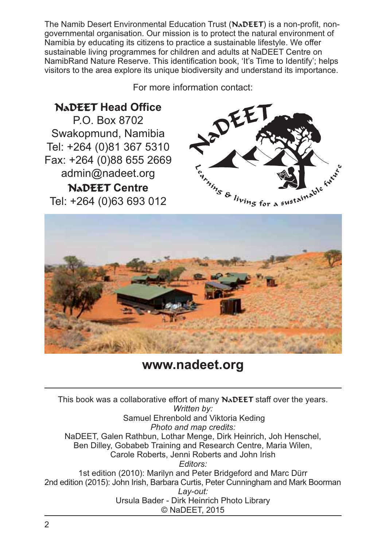The Namib Desert Environmental Education Trust (N<sub>a</sub>DEET) is a non-profit, nongovernmental organisation. Our mission is to protect the natural environment of Namibia by educating its citizens to practice a sustainable lifestyle. We offer sustainable living programmes for children and adults at NaDEET Centre on NamibRand Nature Reserve. This identification book. 'It's Time to Identify': helps visitors to the area explore its unique biodiversity and understand its importance.

For more information contact:

**NADEET Head Office** 

P.O. Box 8702 Swakopmund, Namibia Tel: +264 (0)81 367 5310 Fax: +264 (0)88 655 2669 admin@nadeet.org **NADEET Centre** Tel: +264 (0)63 693 012





## www.nadeet.org

This book was a collaborative effort of many NADEET staff over the years. Written by: Samuel Ehrenbold and Viktoria Keding Photo and map credits: NaDEET, Galen Rathbun, Lothar Menge, Dirk Heinrich, Joh Henschel, Ben Dilley, Gobabeb Training and Research Centre, Maria Wilen, Carole Roberts, Jenni Roberts and John Irish Editors: 1st edition (2010): Marilyn and Peter Bridgeford and Marc Dürr 2nd edition (2015): John Irish, Barbara Curtis, Peter Cunningham and Mark Boorman Lay-out: Ursula Bader - Dirk Heinrich Photo Library © NaDEET, 2015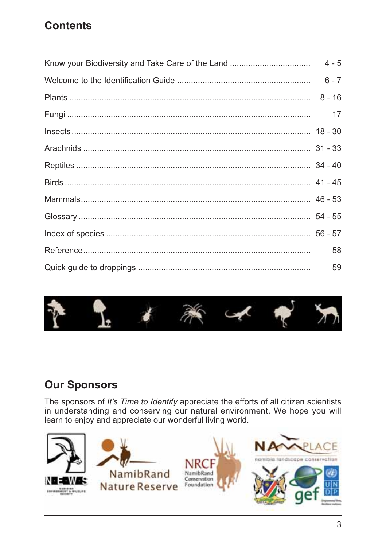## **Contents**

| 17 |
|----|
|    |
|    |
|    |
|    |
|    |
|    |
|    |
| 58 |
| 59 |



## **Our Sponsors**

The sponsors of It's Time to Identify appreciate the efforts of all citizen scientists in understanding and conserving our natural environment. We hope you will learn to enjoy and appreciate our wonderful living world.

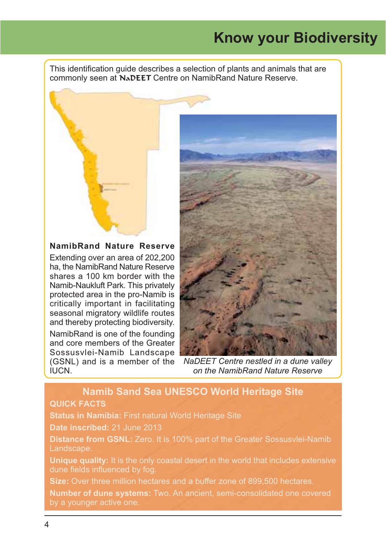## **Know your Biodiversity**

This identification guide describes a selection of plants and animals that are commonly seen at NADEET Centre on NamibRand Nature Reserve.

#### NamibRand Nature Reserve

Extending over an area of 202,200 ha, the NamibRand Nature Reserve shares a 100 km border with the Namib-Naukluft Park. This privately protected area in the pro-Namib is critically important in facilitating seasonal migratory wildlife routes and thereby protecting biodiversity. NamibRand is one of the founding

and core members of the Greater Sossusvlei-Namib Landscape (GSNL) and is a member of the **ILICN** 



NaDEET Centre nestled in a dune valley on the NamibRand Nature Reserve

#### **Namib Sand Sea UNESCO World Heritage Site QUICK FACTS**

Status in Namibia: First natural World Heritage Site

Date inscribed: 21 June 2013

Distance from GSNL: Zero. It is 100% part of the Greater Sossusvlei-Namib Landscape.

Unique quality: It is the only coastal desert in the world that includes extensive dune fields influenced by fog.

Size: Over three million hectares and a buffer zone of 899,500 hectares.

Number of dune systems: Two. An ancient, semi-consolidated one covered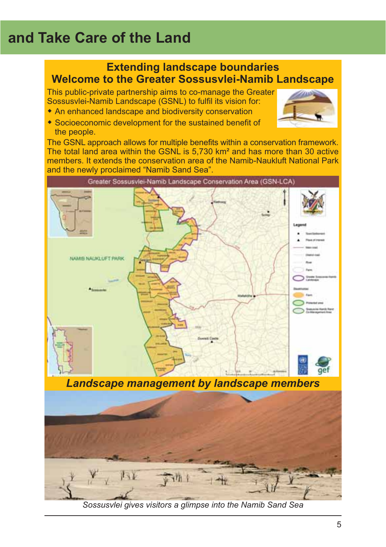# and Take Care of the Land



Sossusvlei gives visitors a glimpse into the Namib Sand Sea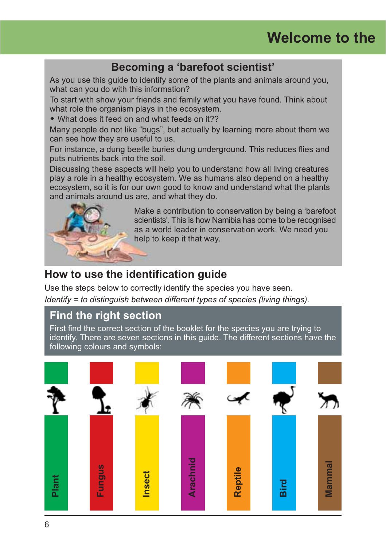## Becoming a 'barefoot scientist'

As you use this quide to identify some of the plants and animals around you, what can you do with this information?

To start with show your friends and family what you have found. Think about what role the organism plays in the ecosystem.

• What does it feed on and what feeds on it??

Many people do not like "bugs", but actually by learning more about them we can see how they are useful to us.

For instance, a dung beetle buries dung underground. This reduces flies and puts nutrients back into the soil.

Discussing these aspects will help you to understand how all living creatures play a role in a healthy ecosystem. We as humans also depend on a healthy ecosystem, so it is for our own good to know and understand what the plants and animals around us are, and what they do.



Make a contribution to conservation by being a 'barefoot scientists'. This is how Namibia has come to be recognised as a world leader in conservation work. We need you help to keep it that way.

## How to use the identification guide

Use the steps below to correctly identify the species you have seen.

Identify = to distinguish between different types of species (living things).

## **Find the right section**

First find the correct section of the booklet for the species you are trying to identify. There are seven sections in this guide. The different sections have the following colours and symbols:

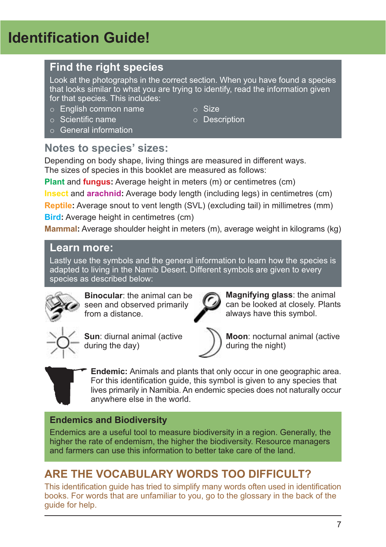# **Identification Guide!**

## **Find the right species**

Look at the photographs in the correct section. When you have found a species that looks similar to what you are trying to identify, read the information given for that species. This includes:

 $\circ$  Size

o Description

- $\circ$  English common name
- $\circ$  Scientific name
- $\circ$  General information

## Notes to species' sizes:

Depending on body shape, living things are measured in different ways. The sizes of species in this booklet are measured as follows:

**Plant and fungus:** Average height in meters (m) or centimetres (cm)

Insect and arachnid: Average body length (including legs) in centimetres (cm)

**Reptile:** Average snout to vent length (SVL) (excluding tail) in millimetres (mm) **Bird:** Average height in centimetres (cm)

Mammal: Average shoulder height in meters (m), average weight in kilograms (kg)

## Learn more:

Lastly use the symbols and the general information to learn how the species is adapted to living in the Namib Desert. Different symbols are given to every species as described below:



Binocular: the animal can be seen and observed primarily from a distance.



Sun: diurnal animal (active during the day)

Magnifying glass: the animal can be looked at closely. Plants always have this symbol.



Moon: nocturnal animal (active during the night)



Endemic: Animals and plants that only occur in one geographic area. For this identification quide, this symbol is given to any species that lives primarily in Namibia. An endemic species does not naturally occur anywhere else in the world.

## **Endemics and Biodiversity**

Endemics are a useful tool to measure biodiversity in a region. Generally, the higher the rate of endemism, the higher the biodiversity. Resource managers and farmers can use this information to better take care of the land

## ARE THE VOCABULARY WORDS TOO DIFFICULT?

This identification guide has tried to simplify many words often used in identification books. For words that are unfamiliar to you, go to the glossary in the back of the quide for help.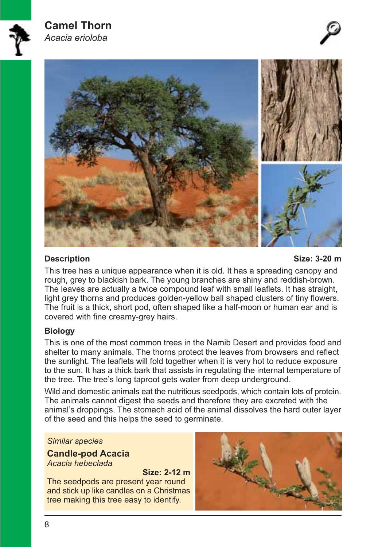

#### **Description**

Size: 3-20 m

This tree has a unique appearance when it is old. It has a spreading canopy and rough, grey to blackish bark. The young branches are shiny and reddish-brown. The leaves are actually a twice compound leaf with small leaflets. It has straight, light grey thorns and produces golden-yellow ball shaped clusters of tiny flowers. The fruit is a thick, short pod, often shaped like a half-moon or human ear and is covered with fine creamy-grey hairs.

#### **Biology**

This is one of the most common trees in the Namib Desert and provides food and shelter to many animals. The thorns protect the leaves from browsers and reflect the sunlight. The leaflets will fold together when it is very hot to reduce exposure to the sun. It has a thick bark that assists in regulating the internal temperature of the tree. The tree's long taproot gets water from deep underground.

Wild and domestic animals eat the nutritious seedpods, which contain lots of protein. The animals cannot digest the seeds and therefore they are excreted with the animal's droppings. The stomach acid of the animal dissolves the hard outer layer of the seed and this helps the seed to germinate.

#### **Similar species**

**Candle-pod Acacia** Acacia hebeclada

Size: 2-12 m The seedpods are present year round and stick up like candles on a Christmas tree making this tree easy to identify.

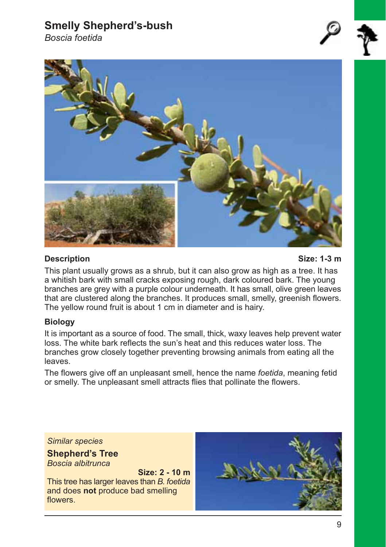## **Smelly Shepherd's-bush**

Boscia foetida



#### **Description**

Size: 1-3 m

This plant usually grows as a shrub, but it can also grow as high as a tree. It has a whitish bark with small cracks exposing rough, dark coloured bark. The young branches are grey with a purple colour underneath. It has small, olive green leaves that are clustered along the branches. It produces small, smelly, greenish flowers. The yellow round fruit is about 1 cm in diameter and is hairy.

#### **Biology**

It is important as a source of food. The small, thick, waxy leaves help prevent water loss. The white bark reflects the sun's heat and this reduces water loss. The branches grow closely together preventing browsing animals from eating all the leaves.

The flowers give off an unpleasant smell, hence the name foetida, meaning fetid or smelly. The unpleasant smell attracts flies that pollinate the flowers.

**Similar species** 

**Shepherd's Tree** Boscia albitrunca

Size: 2 - 10 m This tree has larger leaves than B. foetida and does not produce bad smelling flowers.

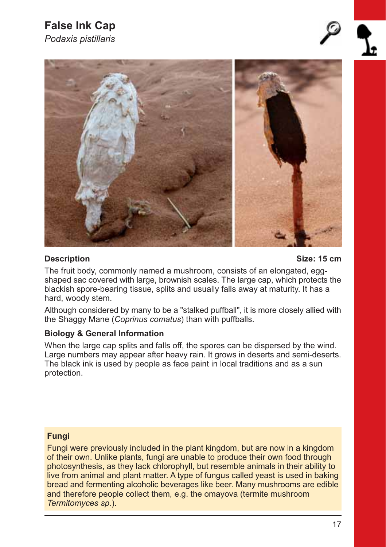# **False Ink Cap**

Podaxis pistillaris





#### **Description**

Size: 15 cm

The fruit body, commonly named a mushroom, consists of an elongated, eggshaped sac covered with large, brownish scales. The large cap, which protects the blackish spore-bearing tissue, splits and usually falls away at maturity. It has a hard, woody stem.

Although considered by many to be a "stalked puffball", it is more closely allied with the Shaggy Mane (Coprinus comatus) than with puffballs.

#### **Biology & General Information**

When the large cap splits and falls off, the spores can be dispersed by the wind. Large numbers may appear after heavy rain. It grows in deserts and semi-deserts. The black ink is used by people as face paint in local traditions and as a sun protection.

#### **Fungi**

Fungi were previously included in the plant kingdom, but are now in a kingdom of their own. Unlike plants, fungi are unable to produce their own food through photosynthesis, as they lack chlorophyll, but resemble animals in their ability to live from animal and plant matter. A type of fungus called yeast is used in baking bread and fermenting alcoholic beverages like beer. Many mushrooms are edible and therefore people collect them, e.g. the omayova (termite mushroom Termitomyces sp.).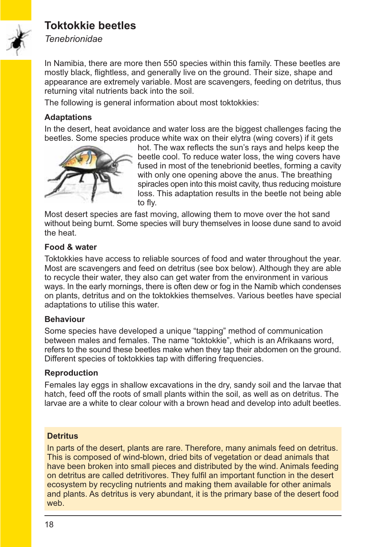## **Toktokkie beetles**



**Tenebrionidae** 

In Namibia, there are more then 550 species within this family. These beetles are mostly black, flightless, and generally live on the ground. Their size, shape and appearance are extremely variable. Most are scavengers, feeding on detritus, thus returning vital nutrients back into the soil.

The following is general information about most toktokkies:

#### **Adaptations**

In the desert, heat avoidance and water loss are the biggest challenges facing the beetles. Some species produce white wax on their elytra (wing covers) if it gets



hot. The wax reflects the sun's rays and helps keep the beetle cool. To reduce water loss, the wing covers have fused in most of the tenebrionid beetles, forming a cavity with only one opening above the anus. The breathing spiracles open into this moist cavity, thus reducing moisture loss. This adaptation results in the beetle not being able to fly.

Most desert species are fast moving, allowing them to move over the hot sand without being burnt. Some species will bury themselves in loose dune sand to avoid the heat.

#### Food & water

Toktokkies have access to reliable sources of food and water throughout the year. Most are scavengers and feed on detritus (see box below). Although they are able to recycle their water, they also can get water from the environment in various ways. In the early mornings, there is often dew or fog in the Namib which condenses on plants, detritus and on the toktokkies themselves. Various beetles have special adaptations to utilise this water.

#### **Behaviour**

Some species have developed a unique "tapping" method of communication between males and females. The name "toktokkie", which is an Afrikaans word. refers to the sound these beetles make when they tap their abdomen on the ground. Different species of toktokkies tap with differing frequencies.

#### **Reproduction**

Females lay eggs in shallow excavations in the dry, sandy soil and the larvae that hatch, feed off the roots of small plants within the soil, as well as on detritus. The larvae are a white to clear colour with a brown head and develop into adult beetles.

#### **Detritus**

In parts of the desert, plants are rare. Therefore, many animals feed on detritus. This is composed of wind-blown, dried bits of vegetation or dead animals that have been broken into small pieces and distributed by the wind. Animals feeding on detritus are called detritivores. They fulfil an important function in the desert ecosystem by recycling nutrients and making them available for other animals and plants. As detritus is very abundant, it is the primary base of the desert food weh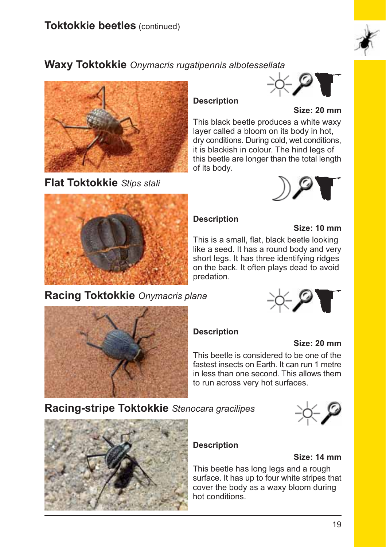

## **Waxy Toktokkie** Onymacris rugatipennis albotessellata



Flat Toktokkie Stips stali

# ं⊱्र≊

Size: 20 mm

This black beetle produces a white waxv layer called a bloom on its body in hot, dry conditions. During cold, wet conditions, it is blackish in colour. The hind legs of this beetle are longer than the total length of its body.





#### **Description**

#### Size: 10 mm

This is a small, flat, black beetle looking like a seed. It has a round body and very short legs. It has three identifying ridges on the back. It often plays dead to avoid predation.

## Racing Toktokkie Onymacris plana





#### **Description**

#### Size: 20 mm

This beetle is considered to be one of the fastest insects on Earth. It can run 1 metre in less than one second. This allows them to run across very hot surfaces.

Racing-stripe Toktokkie Stenocara gracilipes





#### **Description**

#### Size: 14 mm

This beetle has long legs and a rough surface. It has up to four white stripes that cover the body as a waxy bloom during hot conditions.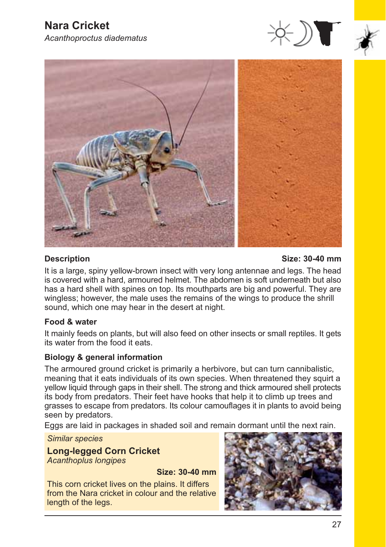





#### **Description**

Size: 30-40 mm

It is a large, spiny yellow-brown insect with very long antennae and legs. The head is covered with a hard, armoured helmet. The abdomen is soft underneath but also has a hard shell with spines on top. Its mouthparts are big and powerful. They are wingless; however, the male uses the remains of the wings to produce the shrill sound, which one may hear in the desert at night.

#### Food & water

It mainly feeds on plants, but will also feed on other insects or small reptiles. It gets its water from the food it eats.

#### **Biology & general information**

The armoured ground cricket is primarily a herbivore, but can turn cannibalistic, meaning that it eats individuals of its own species. When threatened they squirt a yellow liquid through gaps in their shell. The strong and thick armoured shell protects its body from predators. Their feet have hooks that help it to climb up trees and grasses to escape from predators. Its colour camouflages it in plants to avoid being seen by predators.

Eggs are laid in packages in shaded soil and remain dormant until the next rain.

**Similar species** 

**Long-legged Corn Cricket Acanthoplus longipes** 

Size: 30-40 mm

This corn cricket lives on the plains. It differs from the Nara cricket in colour and the relative length of the legs.

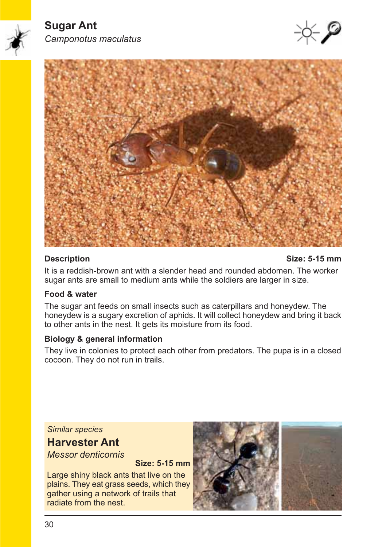



#### **Description**

#### Size: 5-15 mm

It is a reddish-brown ant with a slender head and rounded abdomen. The worker sugar ants are small to medium ants while the soldiers are larger in size.

#### Food & water

The sugar ant feeds on small insects such as caterpillars and honeydew. The honeydew is a sugary excretion of aphids. It will collect honeydew and bring it back to other ants in the nest. It gets its moisture from its food.

#### **Biology & general information**

They live in colonies to protect each other from predators. The pupa is in a closed cocoon. They do not run in trails.

**Similar species** 

## **Harvester Ant**

**Messor denticornis** 

**Size: 5-15 mm** 

Large shiny black ants that live on the plains. They eat grass seeds, which they gather using a network of trails that radiate from the nest.

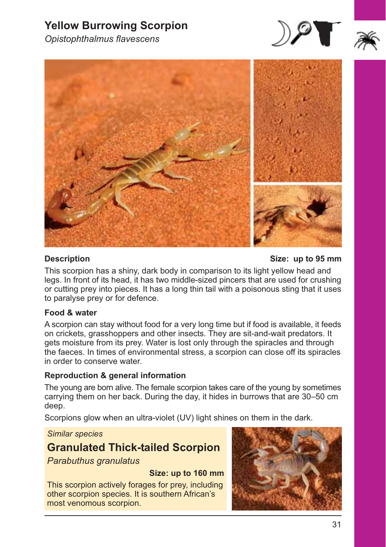## **Yellow Burrowing Scorpion**



Opistophthalmus flavescens



#### **Description**

Size: up to 95 mm

This scorpion has a shiny, dark body in comparison to its light yellow head and legs. In front of its head, it has two middle-sized pincers that are used for crushing or cutting prev into pieces. It has a long thin tail with a poisonous sting that it uses to paralyse prey or for defence.

#### Food & water

A scorpion can stay without food for a very long time but if food is available, it feeds on crickets, grasshoppers and other insects. They are sit-and-wait predators. It gets moisture from its prey. Water is lost only through the spiracles and through the faeces. In times of environmental stress, a scorpion can close off its spiracles in order to conserve water.

#### **Reproduction & general information**

The young are born alive. The female scorpion takes care of the young by sometimes carrying them on her back. During the day, it hides in burrows that are 30–50 cm deep.

Scorpions glow when an ultra-violet (UV) light shines on them in the dark.

**Similar species** 

## **Granulated Thick-tailed Scorpion**

Parabuthus granulatus

#### Size: up to 160 mm

This scorpion actively forages for prey, including other scorpion species. It is southern African's most venomous scorpion.

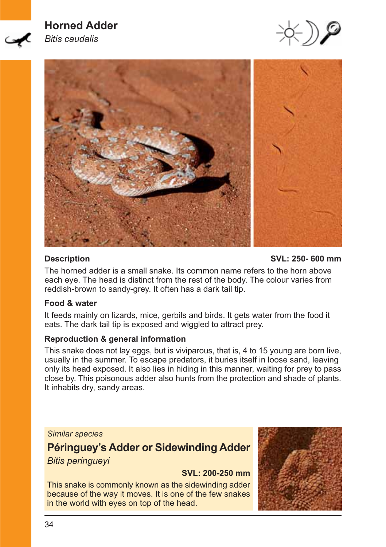## **Horned Adder**



**Bitis caudalis** 





#### **Description**

SVL: 250-600 mm

The horned adder is a small snake. Its common name refers to the horn above each eye. The head is distinct from the rest of the body. The colour varies from reddish-brown to sandy-grey. It often has a dark tail tip.

#### Food & water

It feeds mainly on lizards, mice, gerbils and birds. It gets water from the food it eats. The dark tail tip is exposed and wiggled to attract prey.

#### **Reproduction & general information**

This snake does not lay eggs, but is viviparous, that is, 4 to 15 young are born live, usually in the summer. To escape predators, it buries itself in loose sand, leaving only its head exposed. It also lies in hiding in this manner, waiting for prey to pass close by. This poisonous adder also hunts from the protection and shade of plants. It inhabits dry, sandy areas.

#### **Similar species**

## Péringuey's Adder or Sidewinding Adder **Bitis peringueyi**

SVL: 200-250 mm

This snake is commonly known as the sidewinding adder because of the way it moves. It is one of the few snakes in the world with eyes on top of the head.

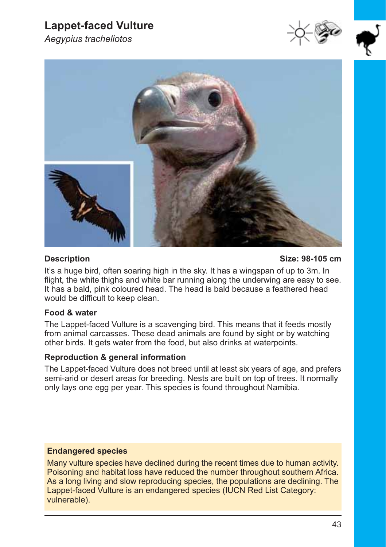## **Lappet-faced Vulture**

Aegypius tracheliotos







#### **Description**

#### Size: 98-105 cm

It's a huge bird, often soaring high in the sky. It has a wingspan of up to 3m. In flight, the white thighs and white bar running along the underwing are easy to see. It has a bald, pink coloured head. The head is bald because a feathered head would be difficult to keep clean.

#### Food & water

The Lappet-faced Vulture is a scavenging bird. This means that it feeds mostly from animal carcasses. These dead animals are found by sight or by watching other birds. It gets water from the food, but also drinks at waterpoints.

#### **Reproduction & general information**

The Lappet-faced Vulture does not breed until at least six years of age, and prefers semi-arid or desert areas for breeding. Nests are built on top of trees. It normally only lays one egg per year. This species is found throughout Namibia.

#### **Endangered species**

Many vulture species have declined during the recent times due to human activity. Poisoning and habitat loss have reduced the number throughout southern Africa. As a long living and slow reproducing species, the populations are declining. The Lappet-faced Vulture is an endangered species (IUCN Red List Category: vulnerable).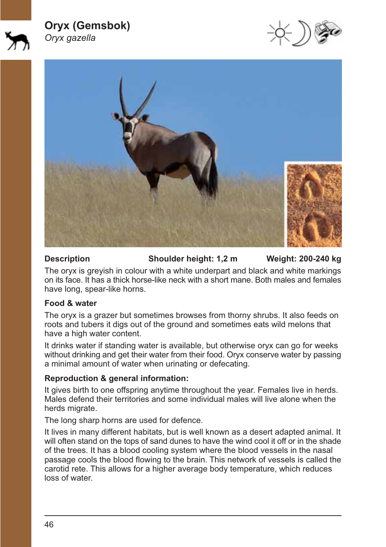#### **Oryx (Gemsbok)** Oryx gazella





#### **Description**

Shoulder height: 1,2 m

Weight: 200-240 kg

The oryx is grevish in colour with a white underpart and black and white markings on its face. It has a thick horse-like neck with a short mane. Both males and females have long, spear-like horns.

#### Food & water

The oryx is a grazer but sometimes browses from thorny shrubs. It also feeds on roots and tubers it digs out of the ground and sometimes eats wild melons that have a high water content.

It drinks water if standing water is available, but otherwise oryx can go for weeks without drinking and get their water from their food. Oryx conserve water by passing a minimal amount of water when urinating or defecating.

#### Reproduction & general information:

It gives birth to one offspring anytime throughout the year. Females live in herds. Males defend their territories and some individual males will live alone when the herds migrate.

The long sharp horns are used for defence.

It lives in many different habitats, but is well known as a desert adapted animal. It will often stand on the tops of sand dunes to have the wind cool it off or in the shade of the trees. It has a blood cooling system where the blood vessels in the nasal passage cools the blood flowing to the brain. This network of vessels is called the carotid rete. This allows for a higher average body temperature, which reduces loss of water.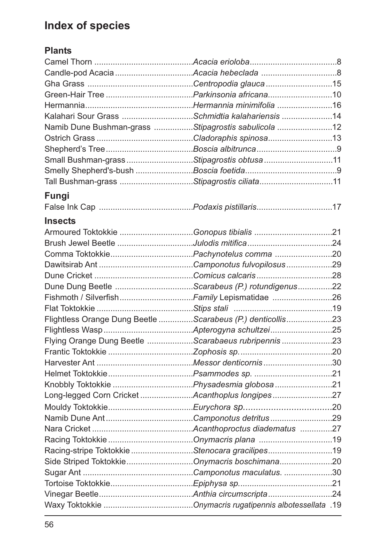## **Index of species**

## **Plants**

| Kalahari Sour Grass Schmidtia kalahariensis 14      |                                                            |  |
|-----------------------------------------------------|------------------------------------------------------------|--|
| Namib Dune Bushman-grass Stipagrostis sabulicola 12 |                                                            |  |
|                                                     |                                                            |  |
|                                                     |                                                            |  |
| Small Bushman-grass Stipagrostis obtusa 11          |                                                            |  |
|                                                     |                                                            |  |
| Tall Bushman-grass Stipagrostis ciliata11           |                                                            |  |
| Fungi                                               |                                                            |  |
|                                                     |                                                            |  |
|                                                     |                                                            |  |
| <b>Insects</b>                                      |                                                            |  |
| Armoured Toktokkie Gonopus tibialis 21              |                                                            |  |
|                                                     |                                                            |  |
|                                                     |                                                            |  |
|                                                     |                                                            |  |
|                                                     |                                                            |  |
| Dune Dung Beetle Scarabeus (P.) rotundigenus22      |                                                            |  |
|                                                     | Fishmoth / SilverfishFamily Lepismatidae 26                |  |
|                                                     |                                                            |  |
|                                                     | Flightless Orange Dung Beetle Scarabeus (P.) denticollis23 |  |
|                                                     |                                                            |  |
|                                                     | Flying Orange Dung Beetle Scarabaeus rubripennis 23        |  |
|                                                     |                                                            |  |
|                                                     |                                                            |  |
|                                                     |                                                            |  |
|                                                     |                                                            |  |
|                                                     | Long-legged Corn Cricket Acanthoplus longipes 27           |  |
|                                                     |                                                            |  |
|                                                     |                                                            |  |
|                                                     |                                                            |  |
|                                                     |                                                            |  |
| Racing-stripe ToktokkieStenocara gracilipes19       |                                                            |  |
|                                                     | Side Striped ToktokkieOnymacris boschimana20               |  |
|                                                     |                                                            |  |
|                                                     |                                                            |  |
|                                                     |                                                            |  |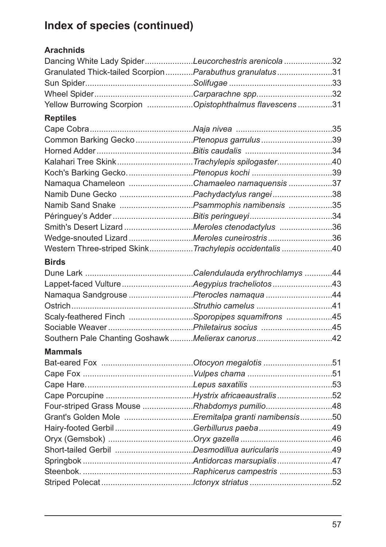# Index of species (continued)

## **Arachnids**

| Dancing White Lady SpiderLeucorchestris arenicola32     |  |
|---------------------------------------------------------|--|
| Granulated Thick-tailed ScorpionParabuthus granulatus31 |  |
|                                                         |  |
|                                                         |  |
| Yellow Burrowing Scorpion Opistophthalmus flavescens 31 |  |

## **Reptiles**

| Common Barking Gecko Ptenopus garrulus 39             |  |
|-------------------------------------------------------|--|
|                                                       |  |
| Kalahari Tree SkinkTrachylepis spilogaster40          |  |
| Koch's Barking GeckoPtenopus kochi 39                 |  |
| Namaqua Chameleon Chamaeleo namaquensis 37            |  |
|                                                       |  |
|                                                       |  |
|                                                       |  |
| Smith's Desert Lizard Meroles ctenodactylus 36        |  |
| Wedge-snouted Lizard Meroles cuneirostris 36          |  |
| Western Three-striped SkinkTrachylepis occidentalis40 |  |
|                                                       |  |

## **Birds**

| Namaqua Sandgrouse Pterocles namaqua 44          |  |
|--------------------------------------------------|--|
|                                                  |  |
| Scaly-feathered Finch Sporopipes squamifrons 45  |  |
|                                                  |  |
| Southern Pale Chanting GoshawkMelierax canorus42 |  |

## **Mammals**

| Four-striped Grass Mouse Rhabdomys pumilio48       |  |
|----------------------------------------------------|--|
| Grant's Golden Mole Eremitalpa granti namibensis50 |  |
| Hairy-footed Gerbil Gerbillurus paeba 49           |  |
|                                                    |  |
|                                                    |  |
|                                                    |  |
|                                                    |  |
|                                                    |  |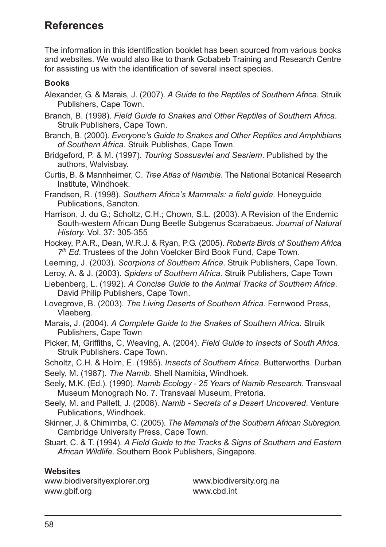## **References**

The information in this identification booklet has been sourced from various books and websites. We would also like to thank Gobabeb Training and Research Centre for assisting us with the identification of several insect species.

#### **Books**

- Alexander, G. & Marais, J. (2007). A Guide to the Reptiles of Southern Africa. Struik Publishers, Cape Town.
- Branch, B. (1998). Field Guide to Snakes and Other Reptiles of Southern Africa. Struik Publishers, Cape Town.

Branch, B. (2000). Everyone's Guide to Snakes and Other Reptiles and Amphibians of Southern Africa. Struik Publishes, Cape Town.

- Bridgeford, P. & M. (1997). Touring Sossusylei and Sesriem. Published by the authors, Walvisbay.
- Curtis. B. & Mannheimer. C. Tree Atlas of Namibia. The National Botanical Research Institute, Windhoek.
- Frandsen, R. (1998). Southern Africa's Mammals: a field quide. Honeyquide Publications, Sandton.

Harrison, J. du G.; Scholtz, C.H.; Chown, S.L. (2003). A Revision of the Endemic South-western African Dung Beetle Subgenus Scarabaeus. Journal of Natural History. Vol. 37: 305-355

- Hockey, P.A.R., Dean, W.R.J. & Ryan, P.G. (2005). Roberts Birds of Southern Africa 7th Ed. Trustees of the John Voelcker Bird Book Fund. Cape Town.
- Leeming, J. (2003). Scorpions of Southern Africa. Struik Publishers, Cape Town.
- Leroy, A. & J. (2003). Spiders of Southern Africa. Struik Publishers, Cape Town

Liebenberg, L. (1992). A Concise Guide to the Animal Tracks of Southern Africa. David Philip Publishers, Cape Town.

Lovegrove, B. (2003). The Living Deserts of Southern Africa. Fernwood Press, Vlaeberg.

- Marais, J. (2004). A Complete Guide to the Snakes of Southern Africa. Struik Publishers, Cape Town
- Picker, M. Griffiths, C. Weaving, A. (2004). Field Guide to Insects of South Africa. Struik Publishers. Cape Town.
- Scholtz, C.H. & Holm, E. (1985). Insects of Southern Africa. Butterworths. Durban Seely, M. (1987). The Namib. Shell Namibia, Windhoek.

Seely, M.K. (Ed.). (1990). Namib Ecology - 25 Years of Namib Research. Transvaal Museum Monograph No. 7. Transvaal Museum, Pretoria.

- Seely, M. and Pallett, J. (2008). Namib Secrets of a Desert Uncovered. Venture Publications, Windhoek.
- Skinner. J. & Chimimba, C. (2005). The Mammals of the Southern African Subregion. Cambridge University Press, Cape Town.
- Stuart, C. & T. (1994). A Field Guide to the Tracks & Signs of Southern and Eastern African Wildlife. Southern Book Publishers, Singapore.

#### **Websites**

www.biodiversityexplorer.org www.gbif.org

www.biodiversity.org.na www chd int